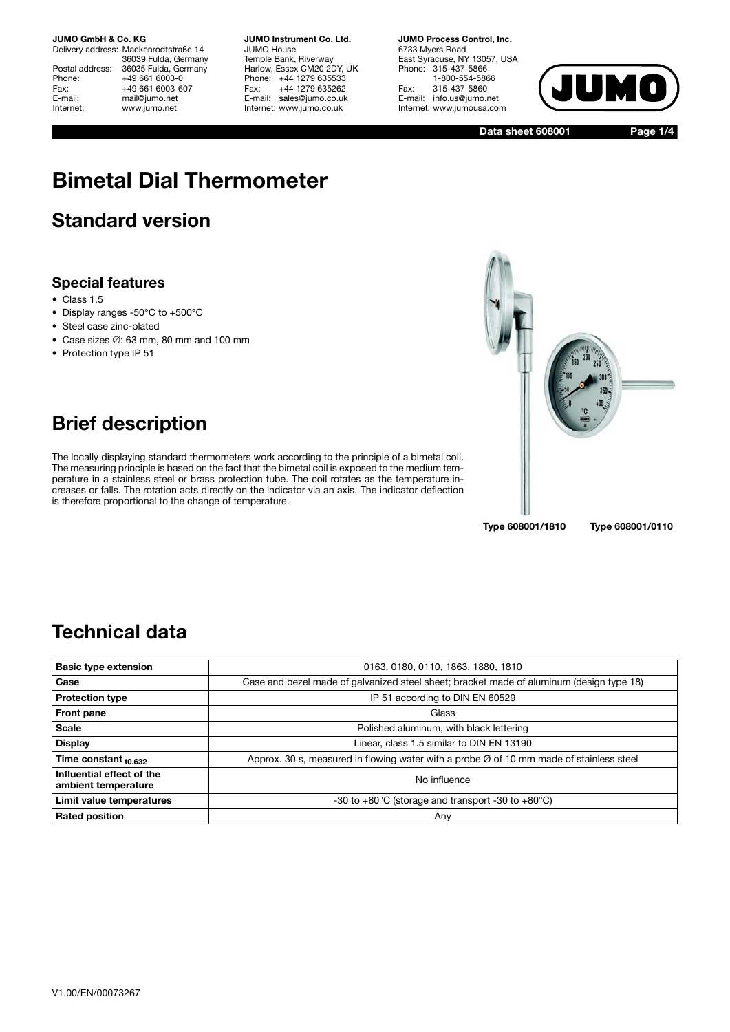Delivery address: Mackenrodtstraße 14 36039 Fulda, Germany Postal address: 36035 Fulda, Germany<br>Phone: +49 661 6003-0 Phone: +49 661 6003-0<br>Fax: +49 661 6003-6 Fax: +49 661 6003-607<br>E-mail: mail@jumo.net mail@jumo.net Internet: www.jumo.net

**JUMO Instrument Co. Ltd.** JUMO House Temple Bank, Riverway Harlow, Essex CM20 2DY, UK Phone: +44 1279 635533<br>Fax: +44 1279 635262 +44 1279 635262 E-mail: sales@jumo.co.uk Internet: www.jumo.co.uk

**JUMO Process Control, Inc.** 6733 Myers Road East Syracuse, NY 13057, USA Phone: 315-437-5866 1-800-554-5866 Fax: 315-437-5860 E-mail: info.us@jumo.net Internet: www.jumousa.com



**Data sheet 608001**

**Page 1/4**

# **Bimetal Dial Thermometer**

### **Standard version**

#### **Special features**

- Class 1.5
- Display ranges -50°C to +500°C
- Steel case zinc-plated
- Case sizes ∅: 63 mm, 80 mm and 100 mm
- Protection type IP 51



### **Brief description**

The locally displaying standard thermometers work according to the principle of a bimetal coil. The measuring principle is based on the fact that the bimetal coil is exposed to the medium temperature in a stainless steel or brass protection tube. The coil rotates as the temperature increases or falls. The rotation acts directly on the indicator via an axis. The indicator deflection is therefore proportional to the change of temperature.

### **Technical data**

| <b>Basic type extension</b>                      | 0163, 0180, 0110, 1863, 1880, 1810                                                                  |
|--------------------------------------------------|-----------------------------------------------------------------------------------------------------|
| Case                                             | Case and bezel made of galvanized steel sheet; bracket made of aluminum (design type 18)            |
| <b>Protection type</b>                           | IP 51 according to DIN EN 60529                                                                     |
| Front pane                                       | Glass                                                                                               |
| <b>Scale</b>                                     | Polished aluminum, with black lettering                                                             |
| <b>Display</b>                                   | Linear, class 1.5 similar to DIN EN 13190                                                           |
| Time constant $_{10.632}$                        | Approx. 30 s, measured in flowing water with a probe $\varnothing$ of 10 mm made of stainless steel |
| Influential effect of the<br>ambient temperature | No influence                                                                                        |
| Limit value temperatures                         | -30 to $+80^{\circ}$ C (storage and transport -30 to $+80^{\circ}$ C)                               |
| <b>Rated position</b>                            | Any                                                                                                 |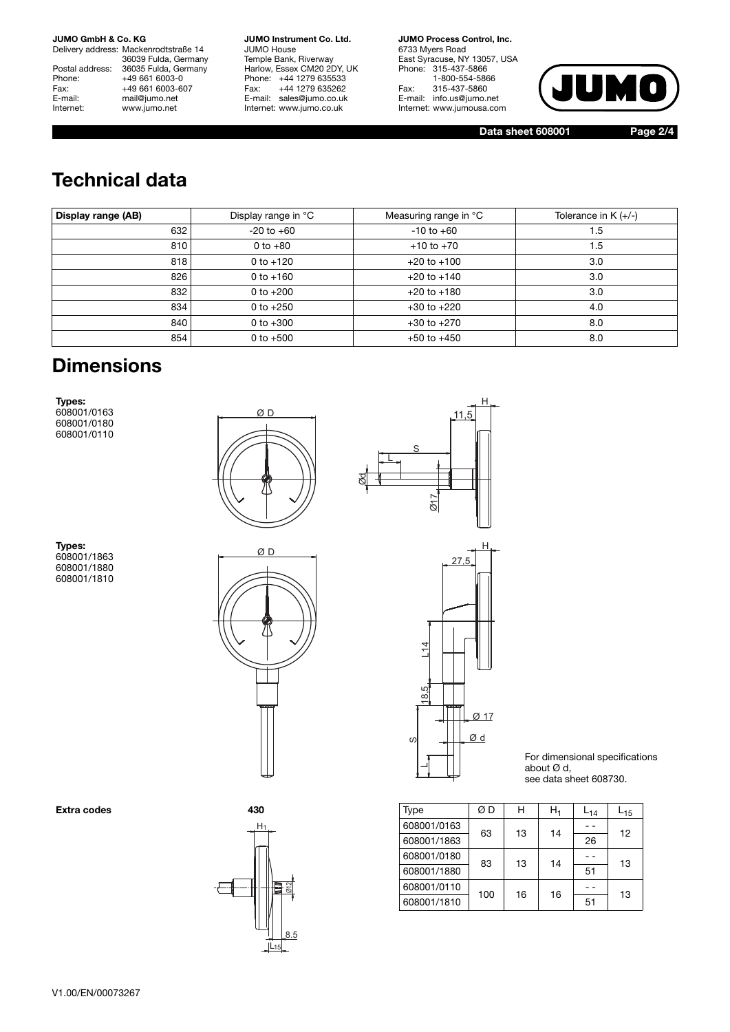Delivery address: Mackenrodtstraße 14 36039 Fulda, Germany Postal address: 36035 Fulda, Germany<br>Phone: +49 661 6003-0 Phone: +49 661 6003-0<br>Fax: +49 661 6003-6 Fax: +49 661 6003-607<br>E-mail: mail@iumo.net E-mail: mail@jumo.net<br>
Internet: www.iumo.net www.jumo.net

**JUMO Instrument Co. Ltd.** JUMO House Temple Bank, Riverway Harlow, Essex CM20 2DY, UK Phone: +44 1279 635533<br>Fax: +44 1279 635262 +44 1279 635262 E-mail: sales@jumo.co.uk Internet: www.jumo.co.uk

**JUMO Process Control, Inc.** 6733 Myers Road East Syracuse, NY 13057, USA Phone: 315-437-5866 1-800-554-5866 Fax: 315-437-5860 E-mail: info.us@jumo.net Internet: www.jumousa.com



**Data sheet 608001 Page 2/4**

## **Technical data**

| Display range (AB) | Display range in °C | Measuring range in °C | Tolerance in $K (+/-)$ |
|--------------------|---------------------|-----------------------|------------------------|
| 632                | $-20$ to $+60$      | $-10$ to $+60$        | 1.5                    |
| 810                | 0 to $+80$          | $+10$ to $+70$        | 1.5                    |
| 818                | $0$ to $+120$       | $+20$ to $+100$       | 3.0                    |
| 826                | $0 to +160$         | $+20$ to $+140$       | 3.0                    |
| 832                | 0 to $+200$         | $+20$ to $+180$       | 3.0                    |
| 834                | 0 to $+250$         | $+30$ to $+220$       | 4.0                    |
| 840                | 0 to $+300$         | $+30$ to $+270$       | 8.0                    |
| 854                | 0 to $+500$         | $+50$ to $+450$       | 8.0                    |

#### **Dimensions**

**Types:** 608001/0163 608001/0180 608001/0110





**Types:** 608001/1863 608001/1880 608001/1810









For dimensional specifications about Ø d, see data sheet 608730.

| Extra codes | 430                     | Type        | ØΒ  | н  | $H_1$ | $L_{14}$ | $L_{15}$ |
|-------------|-------------------------|-------------|-----|----|-------|----------|----------|
|             | $H_1$                   | 608001/0163 | 63  | 13 | 14    | $ -$     | 12       |
|             |                         | 608001/1863 |     |    |       | 26       |          |
|             |                         | 608001/0180 | 83  | 13 | 14    | $ -$     | 13       |
|             | ∥                       | 608001/1880 |     |    |       | 51       |          |
|             | ন<br>$\frac{1}{\omega}$ | 608001/0110 | 100 | 16 | 16    | $ -$     | 13       |
|             | $\mathbb{I}$            | 608001/1810 |     |    |       | 51       |          |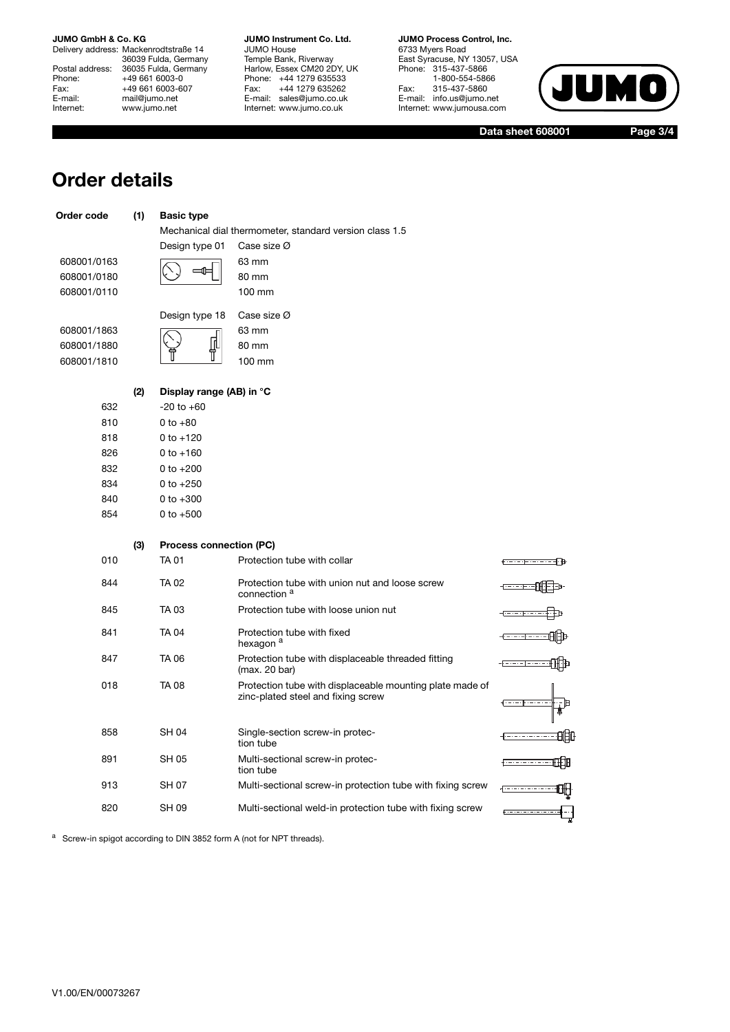Delivery address: Mackenrodtstraße 14 36039 Fulda, Germany Postal address: 36035 Fulda, Germany Phone: +49 661 6003-0<br>
Fax: +49 661 6003-6<br>
E-mail: mail@jumo.net +49 661 6003-607 E-mail: mail@jumo.net<br>
Internet: www.iumo.net www.jumo.net

**JUMO Instrument Co. Ltd.** JUMO House Temple Bank, Riverway Harlow, Essex CM20 2DY, UK Phone: +44 1279 635533 Fax: +44 1279 635262 E-mail: sales@jumo.co.uk Internet: www.jumo.co.uk

**JUMO Process Control, Inc.** 6733 Myers Road East Syracuse, NY 13057, USA Phone: 315-437-5866 1-800-554-5866 Fax: 315-437-5860 E-mail: info.us@jumo.net Internet: www.jumousa.com



**Data sheet 608001 Page 3/4**

#### **Order details**

| Order code                 | (1) | <b>Basic type</b>              |                                                                                                |     |
|----------------------------|-----|--------------------------------|------------------------------------------------------------------------------------------------|-----|
|                            |     |                                | Mechanical dial thermometer, standard version class 1.5                                        |     |
|                            |     | Design type 01                 | Case size Ø                                                                                    |     |
| 608001/0163                |     |                                | 63 mm                                                                                          |     |
| 608001/0180<br>608001/0110 |     |                                | 80 mm<br>100 mm                                                                                |     |
|                            |     |                                |                                                                                                |     |
|                            |     | Design type 18                 | Case size Ø                                                                                    |     |
| 608001/1863                |     |                                | 63 mm                                                                                          |     |
| 608001/1880                |     |                                | 80 mm                                                                                          |     |
| 608001/1810                |     |                                | 100 mm                                                                                         |     |
|                            | (2) | Display range (AB) in °C       |                                                                                                |     |
| 632                        |     | $-20$ to $+60$                 |                                                                                                |     |
| 810                        |     | $0 to +80$                     |                                                                                                |     |
| 818                        |     | $0 to +120$                    |                                                                                                |     |
| 826                        |     | $0$ to $+160$                  |                                                                                                |     |
| 832                        |     | $0 to +200$                    |                                                                                                |     |
| 834                        |     | 0 to $+250$                    |                                                                                                |     |
| 840                        |     | $0 to +300$                    |                                                                                                |     |
| 854                        |     | $0$ to $+500$                  |                                                                                                |     |
|                            | (3) | <b>Process connection (PC)</b> |                                                                                                |     |
| 010                        |     | <b>TA 01</b>                   | Protection tube with collar                                                                    |     |
| 844                        |     | <b>TA 02</b>                   | Protection tube with union nut and loose screw<br>connection <sup>a</sup>                      |     |
| 845                        |     | TA 03                          | Protection tube with loose union nut                                                           |     |
| 841                        |     | <b>TA04</b>                    | Protection tube with fixed<br>hexagon <sup>a</sup>                                             |     |
| 847                        |     | TA 06                          | Protection tube with displaceable threaded fitting<br>(max. 20 bar)                            |     |
| 018                        |     | <b>TA 08</b>                   | Protection tube with displaceable mounting plate made of<br>zinc-plated steel and fixing screw |     |
| 858                        |     | <b>SH04</b>                    | Single-section screw-in protec-<br>tion tube                                                   | 吅   |
| 891                        |     | <b>SH 05</b>                   | Multi-sectional screw-in protec-<br>tion tube                                                  | O⊫o |
| 913                        |     | SH 07                          | Multi-sectional screw-in protection tube with fixing screw                                     | ₩   |
| 820                        |     | <b>SH 09</b>                   | Multi-sectional weld-in protection tube with fixing screw                                      |     |

<sup>a</sup> Screw-in spigot according to DIN 3852 form A (not for NPT threads).